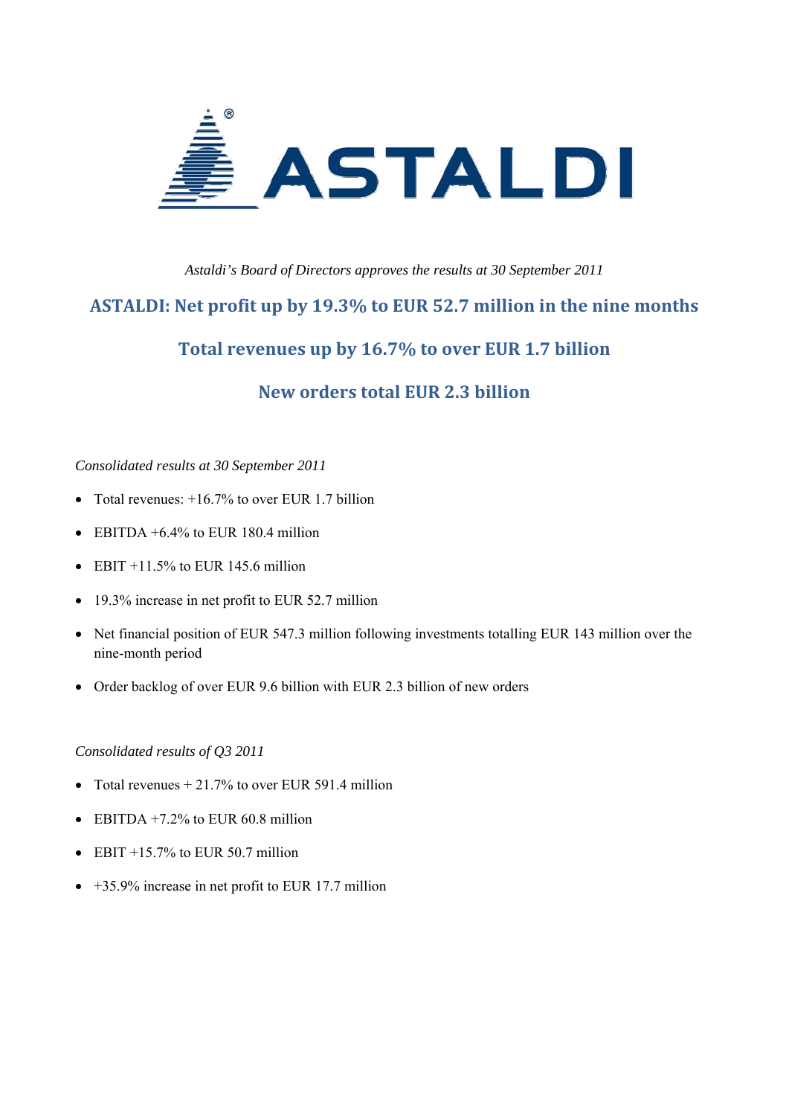

#### *Astaldi's Board of Directors approves the results at 30 September 2011*

## **ASTALDI: Net profit up by 19.3% to EUR 52.7 million in the nine months**

## **Total revenues up by 16.7% to over EUR 1.7 billion**

## **New orders total EUR 2.3 billion**

#### *Consolidated results at 30 September 2011*

- Total revenues:  $+16.7\%$  to over EUR 1.7 billion
- EBITDA  $+6.4\%$  to EUR 180.4 million
- EBIT  $+11.5\%$  to EUR 145.6 million
- 19.3% increase in net profit to EUR 52.7 million
- Net financial position of EUR 547.3 million following investments totalling EUR 143 million over the nine-month period
- Order backlog of over EUR 9.6 billion with EUR 2.3 billion of new orders

#### *Consolidated results of Q3 2011*

- Total revenues  $+ 21.7\%$  to over EUR 591.4 million
- EBITDA  $+7.2\%$  to EUR 60.8 million
- EBIT  $+15.7\%$  to EUR 50.7 million
- $\bullet$  +35.9% increase in net profit to EUR 17.7 million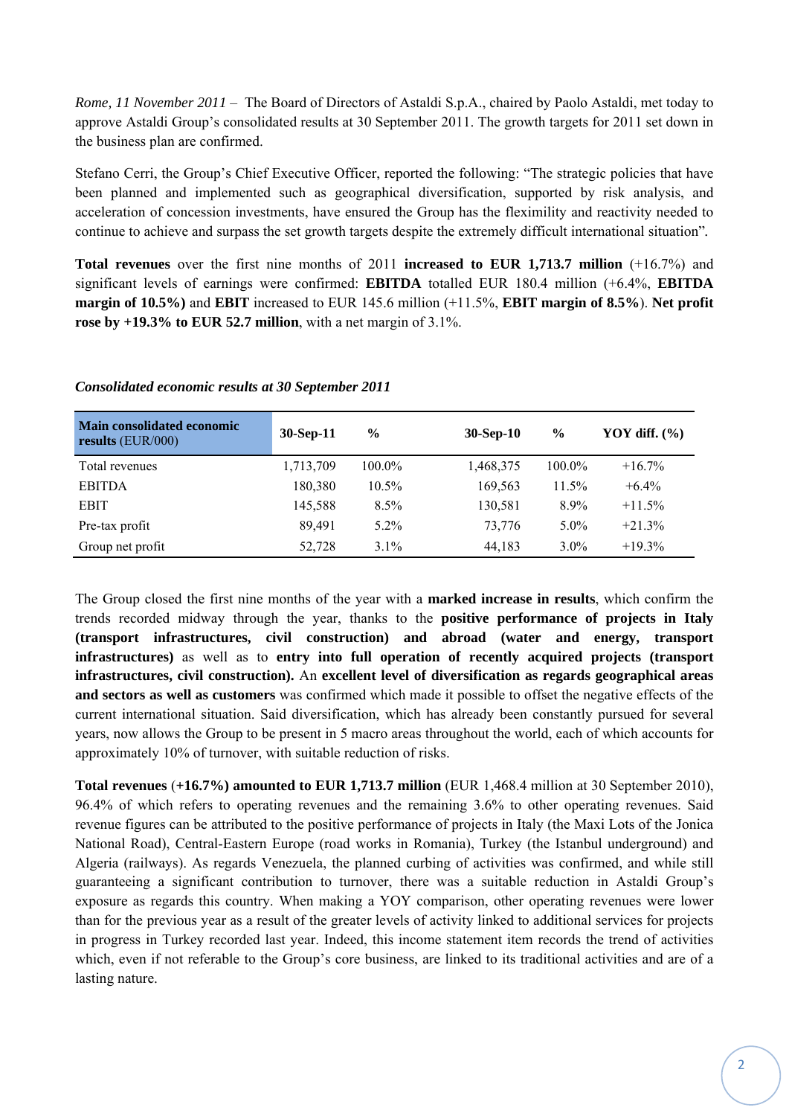*Rome, 11 November 2011* – The Board of Directors of Astaldi S.p.A., chaired by Paolo Astaldi, met today to approve Astaldi Group's consolidated results at 30 September 2011. The growth targets for 2011 set down in the business plan are confirmed.

Stefano Cerri, the Group's Chief Executive Officer, reported the following: "The strategic policies that have been planned and implemented such as geographical diversification, supported by risk analysis, and acceleration of concession investments, have ensured the Group has the fleximility and reactivity needed to continue to achieve and surpass the set growth targets despite the extremely difficult international situation"*.*

**Total revenues** over the first nine months of 2011 **increased to EUR 1,713.7 million** (+16.7%) and significant levels of earnings were confirmed: **EBITDA** totalled EUR 180.4 million (+6.4%, **EBITDA margin of 10.5%)** and **EBIT** increased to EUR 145.6 million (+11.5%, **EBIT margin of 8.5%**). **Net profit rose by +19.3% to EUR 52.7 million**, with a net margin of 3.1%.

| <b>Main consolidated economic</b><br>results $(EUR/000)$ | 30-Sep-11 | $\%$      | 30-Sep-10 | $\frac{0}{0}$ | YOY diff. $(\% )$ |
|----------------------------------------------------------|-----------|-----------|-----------|---------------|-------------------|
| Total revenues                                           | 1,713,709 | $100.0\%$ | 1,468,375 | $100.0\%$     | $+16.7\%$         |
| <b>EBITDA</b>                                            | 180,380   | $10.5\%$  | 169,563   | 11.5%         | $+6.4\%$          |
| <b>EBIT</b>                                              | 145,588   | $8.5\%$   | 130,581   | 8.9%          | $+11.5%$          |
| Pre-tax profit                                           | 89.491    | $5.2\%$   | 73.776    | $5.0\%$       | $+21.3%$          |
| Group net profit                                         | 52,728    | $3.1\%$   | 44,183    | $3.0\%$       | $+19.3%$          |

#### *Consolidated economic results at 30 September 2011*

The Group closed the first nine months of the year with a **marked increase in results**, which confirm the trends recorded midway through the year, thanks to the **positive performance of projects in Italy (transport infrastructures, civil construction) and abroad (water and energy, transport infrastructures)** as well as to **entry into full operation of recently acquired projects (transport infrastructures, civil construction).** An **excellent level of diversification as regards geographical areas and sectors as well as customers** was confirmed which made it possible to offset the negative effects of the current international situation. Said diversification, which has already been constantly pursued for several years, now allows the Group to be present in 5 macro areas throughout the world, each of which accounts for approximately 10% of turnover, with suitable reduction of risks.

**Total revenues** (**+16.7%) amounted to EUR 1,713.7 million** (EUR 1,468.4 million at 30 September 2010), 96.4% of which refers to operating revenues and the remaining 3.6% to other operating revenues. Said revenue figures can be attributed to the positive performance of projects in Italy (the Maxi Lots of the Jonica National Road), Central-Eastern Europe (road works in Romania), Turkey (the Istanbul underground) and Algeria (railways). As regards Venezuela, the planned curbing of activities was confirmed, and while still guaranteeing a significant contribution to turnover, there was a suitable reduction in Astaldi Group's exposure as regards this country. When making a YOY comparison, other operating revenues were lower than for the previous year as a result of the greater levels of activity linked to additional services for projects in progress in Turkey recorded last year. Indeed, this income statement item records the trend of activities which, even if not referable to the Group's core business, are linked to its traditional activities and are of a lasting nature.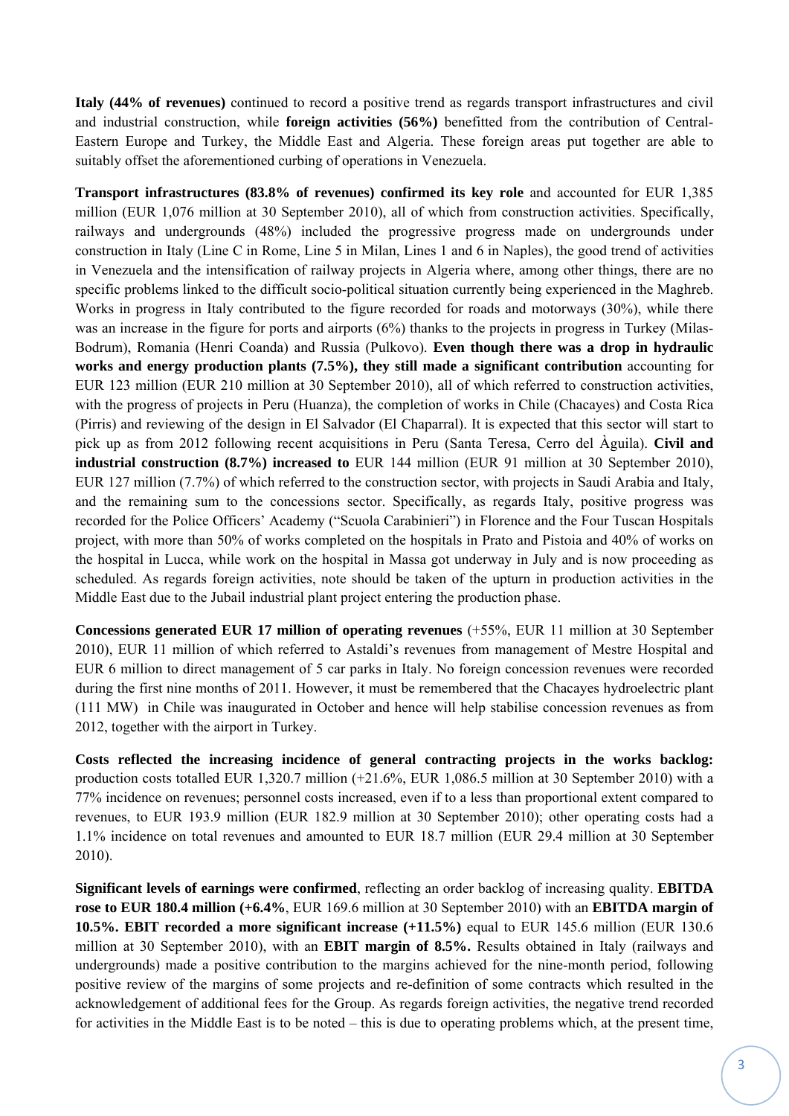**Italy (44% of revenues)** continued to record a positive trend as regards transport infrastructures and civil and industrial construction, while **foreign activities (56%)** benefitted from the contribution of Central-Eastern Europe and Turkey, the Middle East and Algeria. These foreign areas put together are able to suitably offset the aforementioned curbing of operations in Venezuela.

**Transport infrastructures (83.8% of revenues) confirmed its key role** and accounted for EUR 1,385 million (EUR 1,076 million at 30 September 2010), all of which from construction activities. Specifically, railways and undergrounds (48%) included the progressive progress made on undergrounds under construction in Italy (Line C in Rome, Line 5 in Milan, Lines 1 and 6 in Naples), the good trend of activities in Venezuela and the intensification of railway projects in Algeria where, among other things, there are no specific problems linked to the difficult socio-political situation currently being experienced in the Maghreb. Works in progress in Italy contributed to the figure recorded for roads and motorways (30%), while there was an increase in the figure for ports and airports (6%) thanks to the projects in progress in Turkey (Milas-Bodrum), Romania (Henri Coanda) and Russia (Pulkovo). **Even though there was a drop in hydraulic works and energy production plants (7.5%), they still made a significant contribution** accounting for EUR 123 million (EUR 210 million at 30 September 2010), all of which referred to construction activities, with the progress of projects in Peru (Huanza), the completion of works in Chile (Chacayes) and Costa Rica (Pirris) and reviewing of the design in El Salvador (El Chaparral). It is expected that this sector will start to pick up as from 2012 following recent acquisitions in Peru (Santa Teresa, Cerro del Àguila). **Civil and industrial construction (8.7%) increased to** EUR 144 million (EUR 91 million at 30 September 2010), EUR 127 million (7.7%) of which referred to the construction sector, with projects in Saudi Arabia and Italy, and the remaining sum to the concessions sector. Specifically, as regards Italy, positive progress was recorded for the Police Officers' Academy ("Scuola Carabinieri") in Florence and the Four Tuscan Hospitals project, with more than 50% of works completed on the hospitals in Prato and Pistoia and 40% of works on the hospital in Lucca, while work on the hospital in Massa got underway in July and is now proceeding as scheduled. As regards foreign activities, note should be taken of the upturn in production activities in the Middle East due to the Jubail industrial plant project entering the production phase.

**Concessions generated EUR 17 million of operating revenues** (+55%, EUR 11 million at 30 September 2010), EUR 11 million of which referred to Astaldi's revenues from management of Mestre Hospital and EUR 6 million to direct management of 5 car parks in Italy. No foreign concession revenues were recorded during the first nine months of 2011. However, it must be remembered that the Chacayes hydroelectric plant (111 MW) in Chile was inaugurated in October and hence will help stabilise concession revenues as from 2012, together with the airport in Turkey.

**Costs reflected the increasing incidence of general contracting projects in the works backlog:**  production costs totalled EUR 1,320.7 million (+21.6%, EUR 1,086.5 million at 30 September 2010) with a 77% incidence on revenues; personnel costs increased, even if to a less than proportional extent compared to revenues, to EUR 193.9 million (EUR 182.9 million at 30 September 2010); other operating costs had a 1.1% incidence on total revenues and amounted to EUR 18.7 million (EUR 29.4 million at 30 September 2010).

**Significant levels of earnings were confirmed**, reflecting an order backlog of increasing quality. **EBITDA rose to EUR 180.4 million (+6.4%**, EUR 169.6 million at 30 September 2010) with an **EBITDA margin of 10.5%. EBIT recorded a more significant increase (+11.5%)** equal to EUR 145.6 million (EUR 130.6 million at 30 September 2010), with an **EBIT margin of 8.5%.** Results obtained in Italy (railways and undergrounds) made a positive contribution to the margins achieved for the nine-month period, following positive review of the margins of some projects and re-definition of some contracts which resulted in the acknowledgement of additional fees for the Group. As regards foreign activities, the negative trend recorded for activities in the Middle East is to be noted – this is due to operating problems which, at the present time,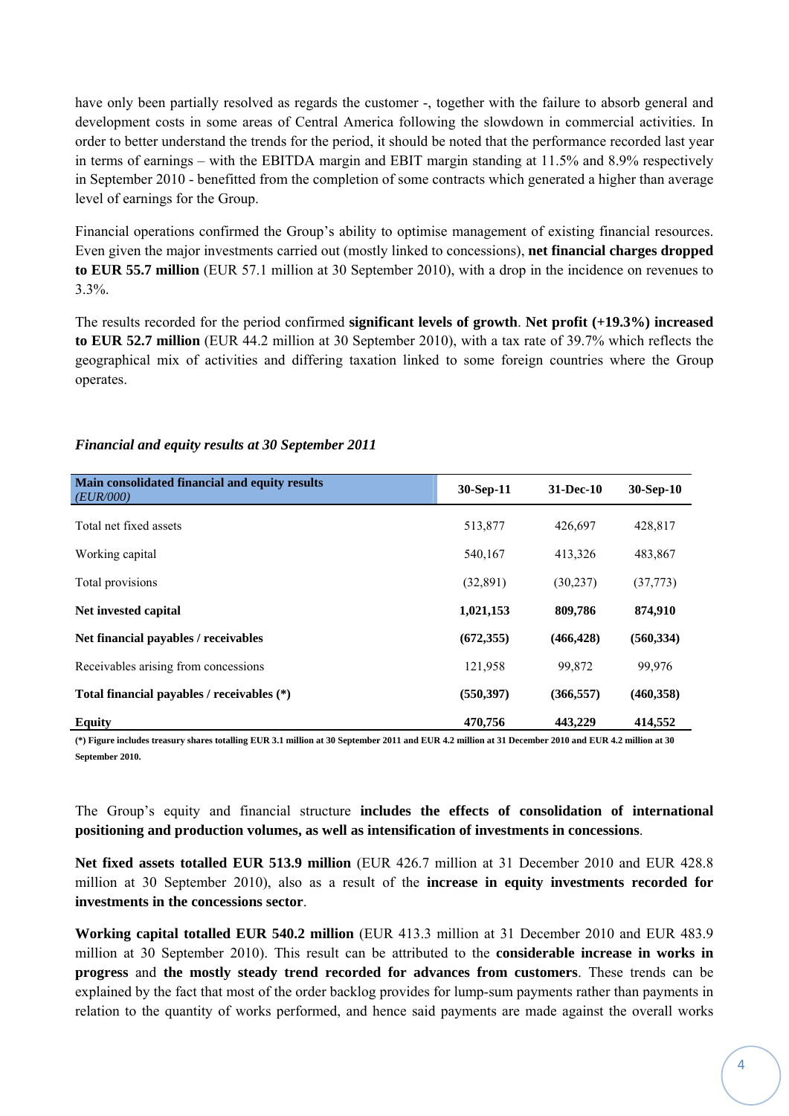have only been partially resolved as regards the customer -, together with the failure to absorb general and development costs in some areas of Central America following the slowdown in commercial activities. In order to better understand the trends for the period, it should be noted that the performance recorded last year in terms of earnings – with the EBITDA margin and EBIT margin standing at 11.5% and 8.9% respectively in September 2010 - benefitted from the completion of some contracts which generated a higher than average level of earnings for the Group.

Financial operations confirmed the Group's ability to optimise management of existing financial resources. Even given the major investments carried out (mostly linked to concessions), **net financial charges dropped to EUR 55.7 million** (EUR 57.1 million at 30 September 2010), with a drop in the incidence on revenues to 3.3%.

The results recorded for the period confirmed **significant levels of growth**. **Net profit (+19.3%) increased to EUR 52.7 million** (EUR 44.2 million at 30 September 2010), with a tax rate of 39.7% which reflects the geographical mix of activities and differing taxation linked to some foreign countries where the Group operates.

| Main consolidated financial and equity results<br><i>(EUR/000)</i> | 30-Sep-11  | $31 - Dec-10$ | $30-Sep-10$ |
|--------------------------------------------------------------------|------------|---------------|-------------|
| Total net fixed assets                                             | 513,877    | 426,697       | 428,817     |
| Working capital                                                    | 540,167    | 413,326       | 483,867     |
| Total provisions                                                   | (32,891)   | (30, 237)     | (37, 773)   |
| Net invested capital                                               | 1,021,153  | 809,786       | 874,910     |
| Net financial payables / receivables                               | (672, 355) | (466, 428)    | (560, 334)  |
| Receivables arising from concessions                               | 121,958    | 99,872        | 99,976      |
| Total financial payables / receivables (*)                         | (550, 397) | (366, 557)    | (460, 358)  |
| <b>Equity</b>                                                      | 470,756    | 443,229       | 414,552     |

### *Financial and equity results at 30 September 2011*

**(\*) Figure includes treasury shares totalling EUR 3.1 million at 30 September 2011 and EUR 4.2 million at 31 December 2010 and EUR 4.2 million at 30 September 2010.** 

The Group's equity and financial structure **includes the effects of consolidation of international positioning and production volumes, as well as intensification of investments in concessions**.

**Net fixed assets totalled EUR 513.9 million** (EUR 426.7 million at 31 December 2010 and EUR 428.8 million at 30 September 2010), also as a result of the **increase in equity investments recorded for investments in the concessions sector**.

**Working capital totalled EUR 540.2 million** (EUR 413.3 million at 31 December 2010 and EUR 483.9 million at 30 September 2010). This result can be attributed to the **considerable increase in works in progress** and **the mostly steady trend recorded for advances from customers**. These trends can be explained by the fact that most of the order backlog provides for lump-sum payments rather than payments in relation to the quantity of works performed, and hence said payments are made against the overall works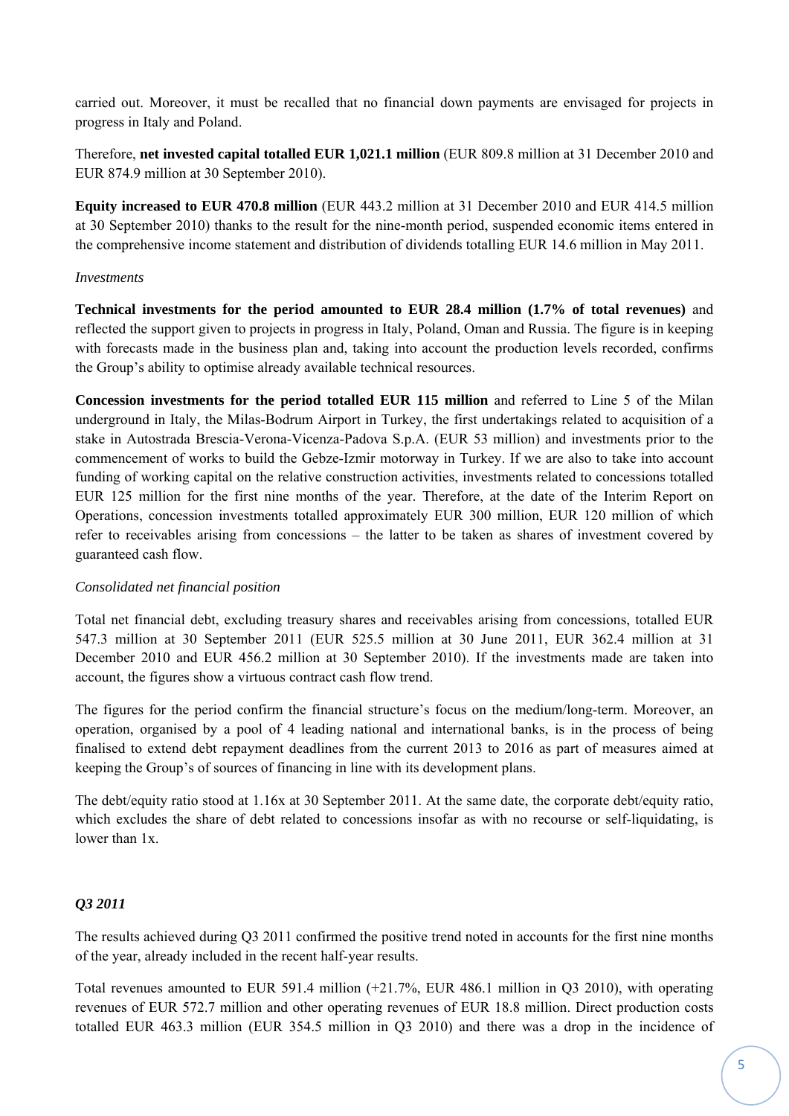carried out. Moreover, it must be recalled that no financial down payments are envisaged for projects in progress in Italy and Poland.

Therefore, **net invested capital totalled EUR 1,021.1 million** (EUR 809.8 million at 31 December 2010 and EUR 874.9 million at 30 September 2010).

**Equity increased to EUR 470.8 million** (EUR 443.2 million at 31 December 2010 and EUR 414.5 million at 30 September 2010) thanks to the result for the nine-month period, suspended economic items entered in the comprehensive income statement and distribution of dividends totalling EUR 14.6 million in May 2011.

#### *Investments*

**Technical investments for the period amounted to EUR 28.4 million (1.7% of total revenues)** and reflected the support given to projects in progress in Italy, Poland, Oman and Russia. The figure is in keeping with forecasts made in the business plan and, taking into account the production levels recorded, confirms the Group's ability to optimise already available technical resources.

**Concession investments for the period totalled EUR 115 million** and referred to Line 5 of the Milan underground in Italy, the Milas-Bodrum Airport in Turkey, the first undertakings related to acquisition of a stake in Autostrada Brescia-Verona-Vicenza-Padova S.p.A. (EUR 53 million) and investments prior to the commencement of works to build the Gebze-Izmir motorway in Turkey. If we are also to take into account funding of working capital on the relative construction activities, investments related to concessions totalled EUR 125 million for the first nine months of the year. Therefore, at the date of the Interim Report on Operations, concession investments totalled approximately EUR 300 million, EUR 120 million of which refer to receivables arising from concessions – the latter to be taken as shares of investment covered by guaranteed cash flow.

#### *Consolidated net financial position*

Total net financial debt, excluding treasury shares and receivables arising from concessions, totalled EUR 547.3 million at 30 September 2011 (EUR 525.5 million at 30 June 2011, EUR 362.4 million at 31 December 2010 and EUR 456.2 million at 30 September 2010). If the investments made are taken into account, the figures show a virtuous contract cash flow trend.

The figures for the period confirm the financial structure's focus on the medium/long-term. Moreover, an operation, organised by a pool of 4 leading national and international banks, is in the process of being finalised to extend debt repayment deadlines from the current 2013 to 2016 as part of measures aimed at keeping the Group's of sources of financing in line with its development plans.

The debt/equity ratio stood at 1.16x at 30 September 2011. At the same date, the corporate debt/equity ratio, which excludes the share of debt related to concessions insofar as with no recourse or self-liquidating, is lower than 1x.

#### *Q3 2011*

The results achieved during Q3 2011 confirmed the positive trend noted in accounts for the first nine months of the year, already included in the recent half-year results.

Total revenues amounted to EUR 591.4 million (+21.7%, EUR 486.1 million in Q3 2010), with operating revenues of EUR 572.7 million and other operating revenues of EUR 18.8 million. Direct production costs totalled EUR 463.3 million (EUR 354.5 million in Q3 2010) and there was a drop in the incidence of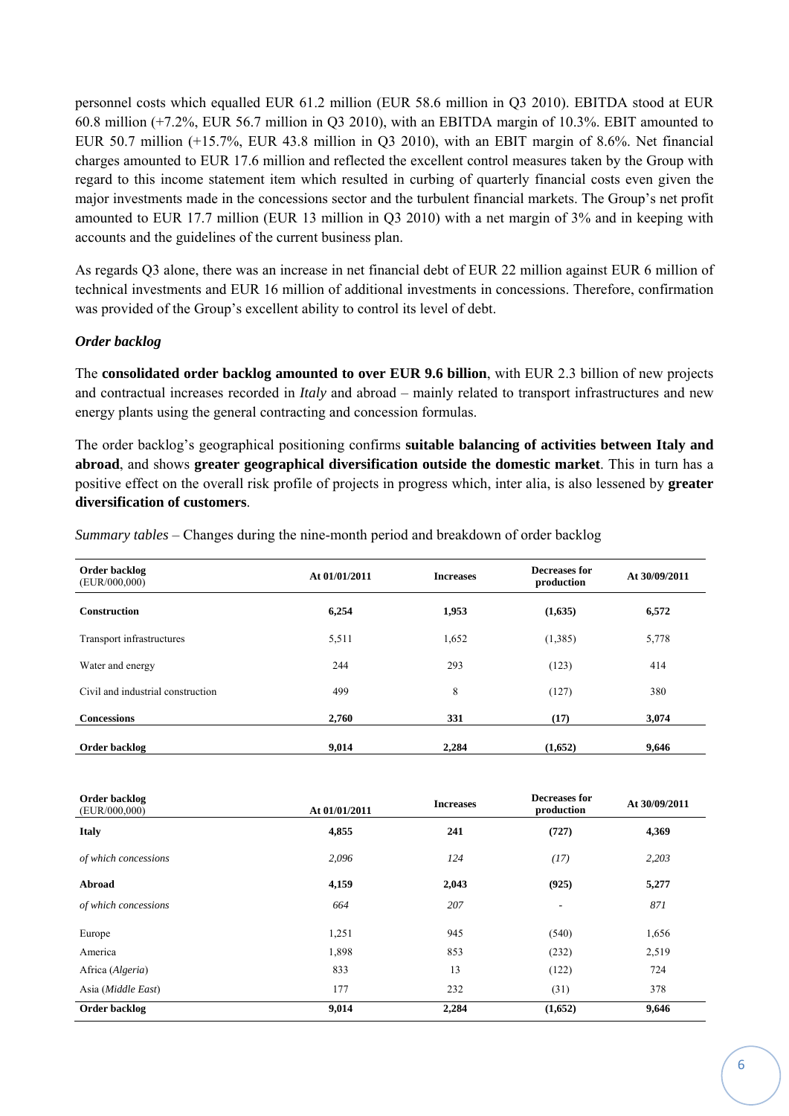personnel costs which equalled EUR 61.2 million (EUR 58.6 million in Q3 2010). EBITDA stood at EUR 60.8 million (+7.2%, EUR 56.7 million in Q3 2010), with an EBITDA margin of 10.3%. EBIT amounted to EUR 50.7 million (+15.7%, EUR 43.8 million in Q3 2010), with an EBIT margin of 8.6%. Net financial charges amounted to EUR 17.6 million and reflected the excellent control measures taken by the Group with regard to this income statement item which resulted in curbing of quarterly financial costs even given the major investments made in the concessions sector and the turbulent financial markets. The Group's net profit amounted to EUR 17.7 million (EUR 13 million in Q3 2010) with a net margin of 3% and in keeping with accounts and the guidelines of the current business plan.

As regards Q3 alone, there was an increase in net financial debt of EUR 22 million against EUR 6 million of technical investments and EUR 16 million of additional investments in concessions. Therefore, confirmation was provided of the Group's excellent ability to control its level of debt.

#### *Order backlog*

The **consolidated order backlog amounted to over EUR 9.6 billion**, with EUR 2.3 billion of new projects and contractual increases recorded in *Italy* and abroad – mainly related to transport infrastructures and new energy plants using the general contracting and concession formulas.

The order backlog's geographical positioning confirms **suitable balancing of activities between Italy and abroad**, and shows **greater geographical diversification outside the domestic market**. This in turn has a positive effect on the overall risk profile of projects in progress which, inter alia, is also lessened by **greater diversification of customers**.

| Order backlog<br>(EUR/000,000) | At 01/01/2011 | <b>Increases</b> | Decreases for<br>production | At 30/09/2011 |
|--------------------------------|---------------|------------------|-----------------------------|---------------|
| <b>Construction</b>            | 6.254         | 1.953            | (1,635)                     | 6.572         |

Transport infrastructures 5,511 1,652 (1,385) 5,778 Water and energy 244 293 (123) 414 Civil and industrial construction  $499$  8 (127) 380

**Concessions** 2,760 331 (17) 3,074

Order backlog **9,014** 2,284 (1,652) 9,646

*Summary tables* – Changes during the nine-month period and breakdown of order backlog

| Order backlog<br>(EUR/000,000) | At 01/01/2011 | <b>Increases</b> | Decreases for<br>production | At 30/09/2011 |
|--------------------------------|---------------|------------------|-----------------------------|---------------|
| <b>Italy</b>                   | 4,855         | 241              | (727)                       | 4,369         |
| of which concessions           | 2,096         | 124              | (17)                        | 2,203         |
| Abroad                         | 4,159         | 2,043            | (925)                       | 5,277         |
| of which concessions           | 664           | 207              | $\overline{\phantom{a}}$    | 871           |
| Europe                         | 1,251         | 945              | (540)                       | 1,656         |
| America                        | 1,898         | 853              | (232)                       | 2,519         |
| Africa (Algeria)               | 833           | 13               | (122)                       | 724           |
| Asia (Middle East)             | 177           | 232              | (31)                        | 378           |
| Order backlog                  | 9,014         | 2,284            | (1,652)                     | 9,646         |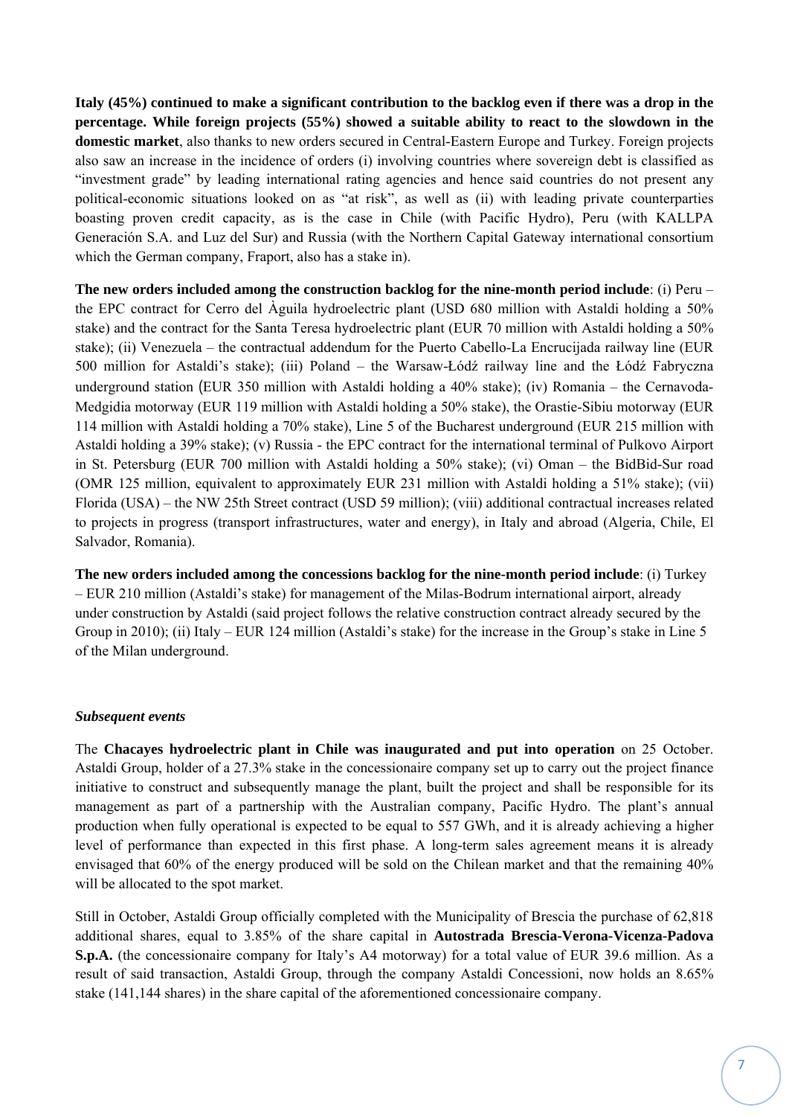**Italy (45%) continued to make a significant contribution to the backlog even if there was a drop in the percentage. While foreign projects (55%) showed a suitable ability to react to the slowdown in the domestic market**, also thanks to new orders secured in Central-Eastern Europe and Turkey. Foreign projects also saw an increase in the incidence of orders (i) involving countries where sovereign debt is classified as "investment grade" by leading international rating agencies and hence said countries do not present any political-economic situations looked on as "at risk", as well as (ii) with leading private counterparties boasting proven credit capacity, as is the case in Chile (with Pacific Hydro), Peru (with KALLPA Generación S.A. and Luz del Sur) and Russia (with the Northern Capital Gateway international consortium which the German company, Fraport, also has a stake in).

**The new orders included among the construction backlog for the nine-month period include**: (i) Peru – the EPC contract for Cerro del Àguila hydroelectric plant (USD 680 million with Astaldi holding a 50% stake) and the contract for the Santa Teresa hydroelectric plant (EUR 70 million with Astaldi holding a 50% stake); (ii) Venezuela – the contractual addendum for the Puerto Cabello-La Encrucijada railway line (EUR 500 million for Astaldi's stake); (iii) Poland – the Warsaw-Łódź railway line and the Łódź Fabryczna underground station (EUR 350 million with Astaldi holding a 40% stake); (iv) Romania – the Cernavoda-Medgidia motorway (EUR 119 million with Astaldi holding a 50% stake), the Orastie-Sibiu motorway (EUR 114 million with Astaldi holding a 70% stake), Line 5 of the Bucharest underground (EUR 215 million with Astaldi holding a 39% stake); (v) Russia - the EPC contract for the international terminal of Pulkovo Airport in St. Petersburg (EUR 700 million with Astaldi holding a 50% stake); (vi) Oman – the BidBid-Sur road (OMR 125 million, equivalent to approximately EUR 231 million with Astaldi holding a 51% stake); (vii) Florida (USA) – the NW 25th Street contract (USD 59 million); (viii) additional contractual increases related to projects in progress (transport infrastructures, water and energy), in Italy and abroad (Algeria, Chile, El Salvador, Romania).

**The new orders included among the concessions backlog for the nine-month period include**: (i) Turkey – EUR 210 million (Astaldi's stake) for management of the Milas-Bodrum international airport, already under construction by Astaldi (said project follows the relative construction contract already secured by the Group in 2010); (ii) Italy – EUR 124 million (Astaldi's stake) for the increase in the Group's stake in Line 5 of the Milan underground.

#### *Subsequent events*

The **Chacayes hydroelectric plant in Chile was inaugurated and put into operation** on 25 October. Astaldi Group, holder of a 27.3% stake in the concessionaire company set up to carry out the project finance initiative to construct and subsequently manage the plant, built the project and shall be responsible for its management as part of a partnership with the Australian company, Pacific Hydro. The plant's annual production when fully operational is expected to be equal to 557 GWh, and it is already achieving a higher level of performance than expected in this first phase. A long-term sales agreement means it is already envisaged that 60% of the energy produced will be sold on the Chilean market and that the remaining 40% will be allocated to the spot market.

Still in October, Astaldi Group officially completed with the Municipality of Brescia the purchase of 62,818 additional shares, equal to 3.85% of the share capital in **Autostrada Brescia-Verona-Vicenza-Padova S.p.A.** (the concessionaire company for Italy's A4 motorway) for a total value of EUR 39.6 million. As a result of said transaction, Astaldi Group, through the company Astaldi Concessioni, now holds an 8.65% stake (141,144 shares) in the share capital of the aforementioned concessionaire company.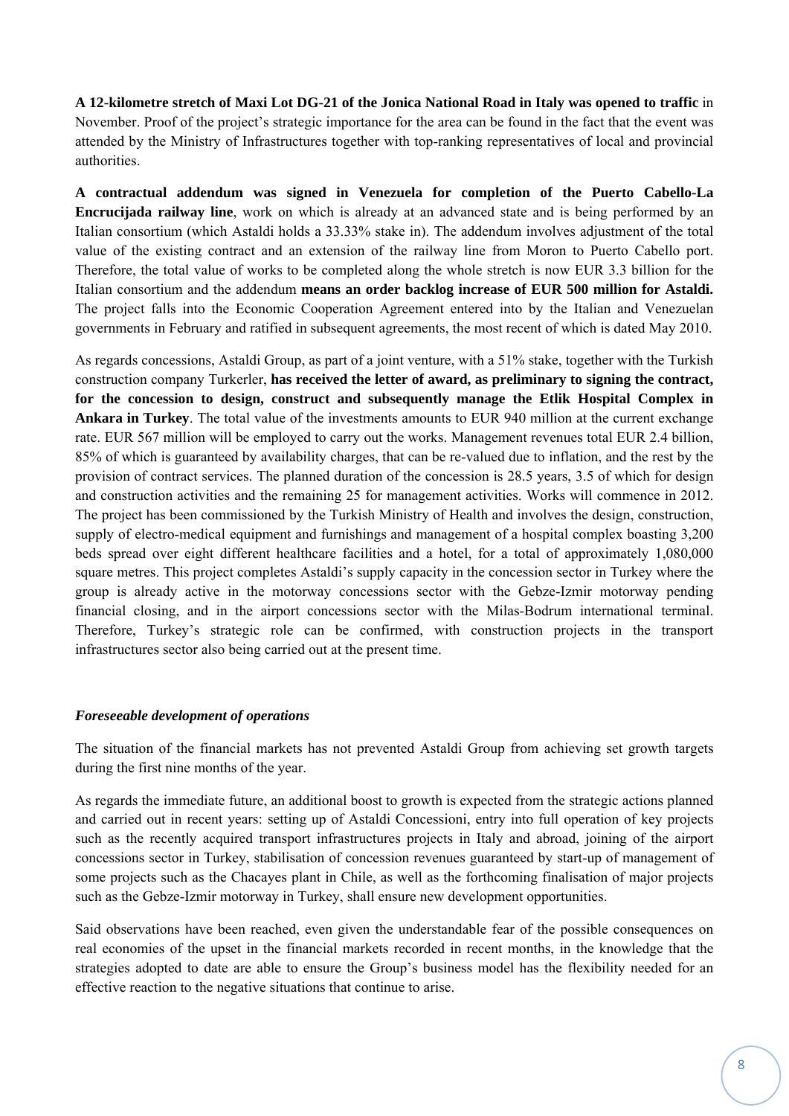**A 12-kilometre stretch of Maxi Lot DG-21 of the Jonica National Road in Italy was opened to traffic** in November. Proof of the project's strategic importance for the area can be found in the fact that the event was attended by the Ministry of Infrastructures together with top-ranking representatives of local and provincial authorities.

**A contractual addendum was signed in Venezuela for completion of the Puerto Cabello-La Encrucijada railway line**, work on which is already at an advanced state and is being performed by an Italian consortium (which Astaldi holds a 33.33% stake in). The addendum involves adjustment of the total value of the existing contract and an extension of the railway line from Moron to Puerto Cabello port. Therefore, the total value of works to be completed along the whole stretch is now EUR 3.3 billion for the Italian consortium and the addendum **means an order backlog increase of EUR 500 million for Astaldi.** The project falls into the Economic Cooperation Agreement entered into by the Italian and Venezuelan governments in February and ratified in subsequent agreements, the most recent of which is dated May 2010.

As regards concessions, Astaldi Group, as part of a joint venture, with a 51% stake, together with the Turkish construction company Turkerler, **has received the letter of award, as preliminary to signing the contract, for the concession to design, construct and subsequently manage the Etlik Hospital Complex in Ankara in Turkey**. The total value of the investments amounts to EUR 940 million at the current exchange rate. EUR 567 million will be employed to carry out the works. Management revenues total EUR 2.4 billion, 85% of which is guaranteed by availability charges, that can be re-valued due to inflation, and the rest by the provision of contract services. The planned duration of the concession is 28.5 years, 3.5 of which for design and construction activities and the remaining 25 for management activities. Works will commence in 2012. The project has been commissioned by the Turkish Ministry of Health and involves the design, construction, supply of electro-medical equipment and furnishings and management of a hospital complex boasting 3,200 beds spread over eight different healthcare facilities and a hotel, for a total of approximately 1,080,000 square metres. This project completes Astaldi's supply capacity in the concession sector in Turkey where the group is already active in the motorway concessions sector with the Gebze-Izmir motorway pending financial closing, and in the airport concessions sector with the Milas-Bodrum international terminal. Therefore, Turkey's strategic role can be confirmed, with construction projects in the transport infrastructures sector also being carried out at the present time.

#### *Foreseeable development of operations*

The situation of the financial markets has not prevented Astaldi Group from achieving set growth targets during the first nine months of the year.

As regards the immediate future, an additional boost to growth is expected from the strategic actions planned and carried out in recent years: setting up of Astaldi Concessioni, entry into full operation of key projects such as the recently acquired transport infrastructures projects in Italy and abroad, joining of the airport concessions sector in Turkey, stabilisation of concession revenues guaranteed by start-up of management of some projects such as the Chacayes plant in Chile, as well as the forthcoming finalisation of major projects such as the Gebze-Izmir motorway in Turkey, shall ensure new development opportunities.

Said observations have been reached, even given the understandable fear of the possible consequences on real economies of the upset in the financial markets recorded in recent months, in the knowledge that the strategies adopted to date are able to ensure the Group's business model has the flexibility needed for an effective reaction to the negative situations that continue to arise.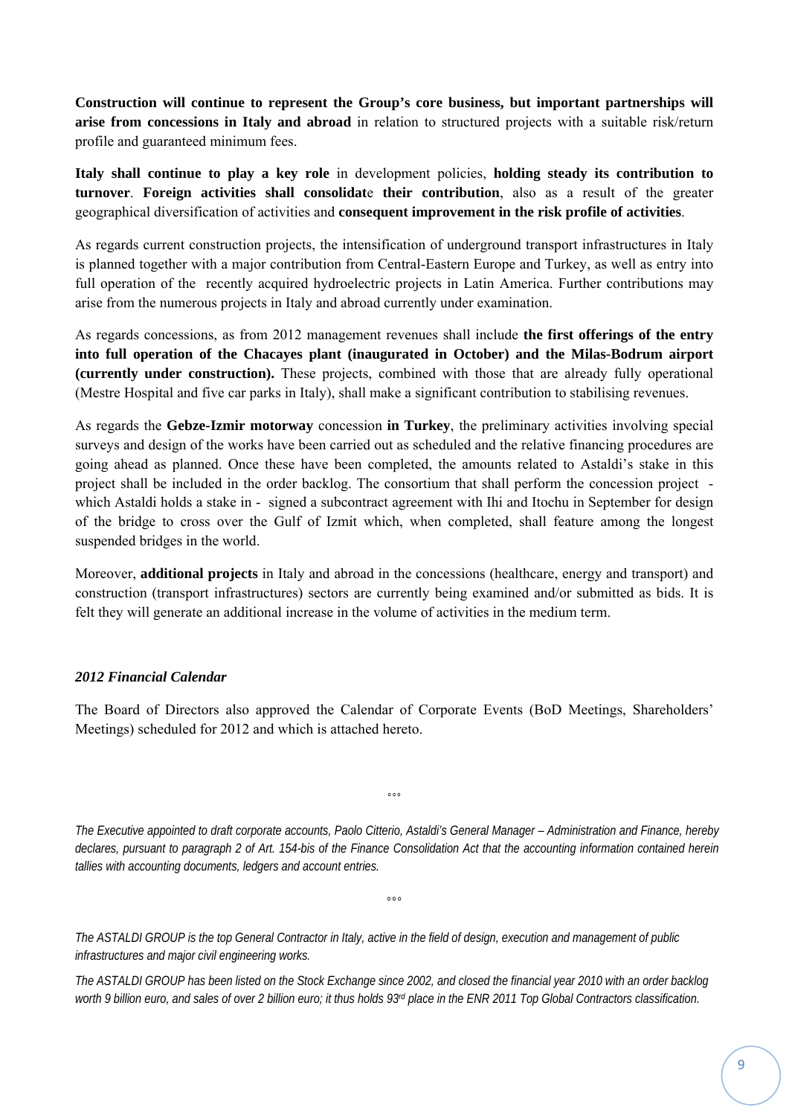**Construction will continue to represent the Group's core business, but important partnerships will arise from concessions in Italy and abroad** in relation to structured projects with a suitable risk/return profile and guaranteed minimum fees.

**Italy shall continue to play a key role** in development policies, **holding steady its contribution to turnover**. **Foreign activities shall consolidat**e **their contribution**, also as a result of the greater geographical diversification of activities and **consequent improvement in the risk profile of activities**.

As regards current construction projects, the intensification of underground transport infrastructures in Italy is planned together with a major contribution from Central-Eastern Europe and Turkey, as well as entry into full operation of the recently acquired hydroelectric projects in Latin America. Further contributions may arise from the numerous projects in Italy and abroad currently under examination.

As regards concessions, as from 2012 management revenues shall include **the first offerings of the entry into full operation of the Chacayes plant (inaugurated in October) and the Milas-Bodrum airport (currently under construction).** These projects, combined with those that are already fully operational (Mestre Hospital and five car parks in Italy), shall make a significant contribution to stabilising revenues.

As regards the **Gebze-Izmir motorway** concession **in Turkey**, the preliminary activities involving special surveys and design of the works have been carried out as scheduled and the relative financing procedures are going ahead as planned. Once these have been completed, the amounts related to Astaldi's stake in this project shall be included in the order backlog. The consortium that shall perform the concession project which Astaldi holds a stake in - signed a subcontract agreement with Ihi and Itochu in September for design of the bridge to cross over the Gulf of Izmit which, when completed, shall feature among the longest suspended bridges in the world.

Moreover, **additional projects** in Italy and abroad in the concessions (healthcare, energy and transport) and construction (transport infrastructures) sectors are currently being examined and/or submitted as bids. It is felt they will generate an additional increase in the volume of activities in the medium term.

#### *2012 Financial Calendar*

The Board of Directors also approved the Calendar of Corporate Events (BoD Meetings, Shareholders' Meetings) scheduled for 2012 and which is attached hereto.

*The Executive appointed to draft corporate accounts, Paolo Citterio, Astaldi's General Manager – Administration and Finance, hereby declares, pursuant to paragraph 2 of Art. 154-bis of the Finance Consolidation Act that the accounting information contained herein tallies with accounting documents, ledgers and account entries.* 

*°°°* 

*°°°* 

*The ASTALDI GROUP is the top General Contractor in Italy, active in the field of design, execution and management of public infrastructures and major civil engineering works.* 

*The ASTALDI GROUP has been listed on the Stock Exchange since 2002, and closed the financial year 2010 with an order backlog*  worth 9 billion euro, and sales of over 2 billion euro; it thus holds 93<sup>d</sup> place in the ENR 2011 Top Global Contractors classification.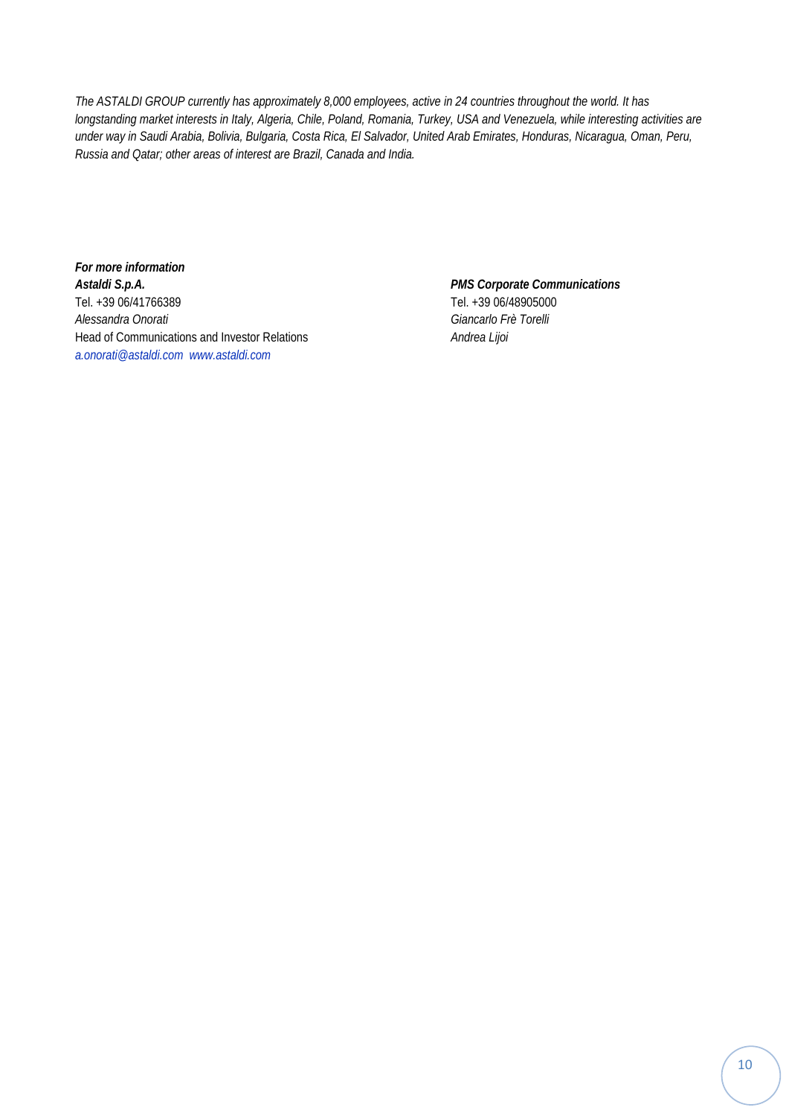*The ASTALDI GROUP currently has approximately 8,000 employees, active in 24 countries throughout the world. It has longstanding market interests in Italy, Algeria, Chile, Poland, Romania, Turkey, USA and Venezuela, while interesting activities are under way in Saudi Arabia, Bolivia, Bulgaria, Costa Rica, El Salvador, United Arab Emirates, Honduras, Nicaragua, Oman, Peru, Russia and Qatar; other areas of interest are Brazil, Canada and India.* 

*For more information Astaldi S.p.A. PMS Corporate Communications*  Tel. +39 06/41766389 Tel. +39 06/48905000 *Alessandra Onorati Giancarlo Frè Torelli* Head of Communications and Investor Relations *Andrea Lijoi a.onorati@astaldi.com www.astaldi.com*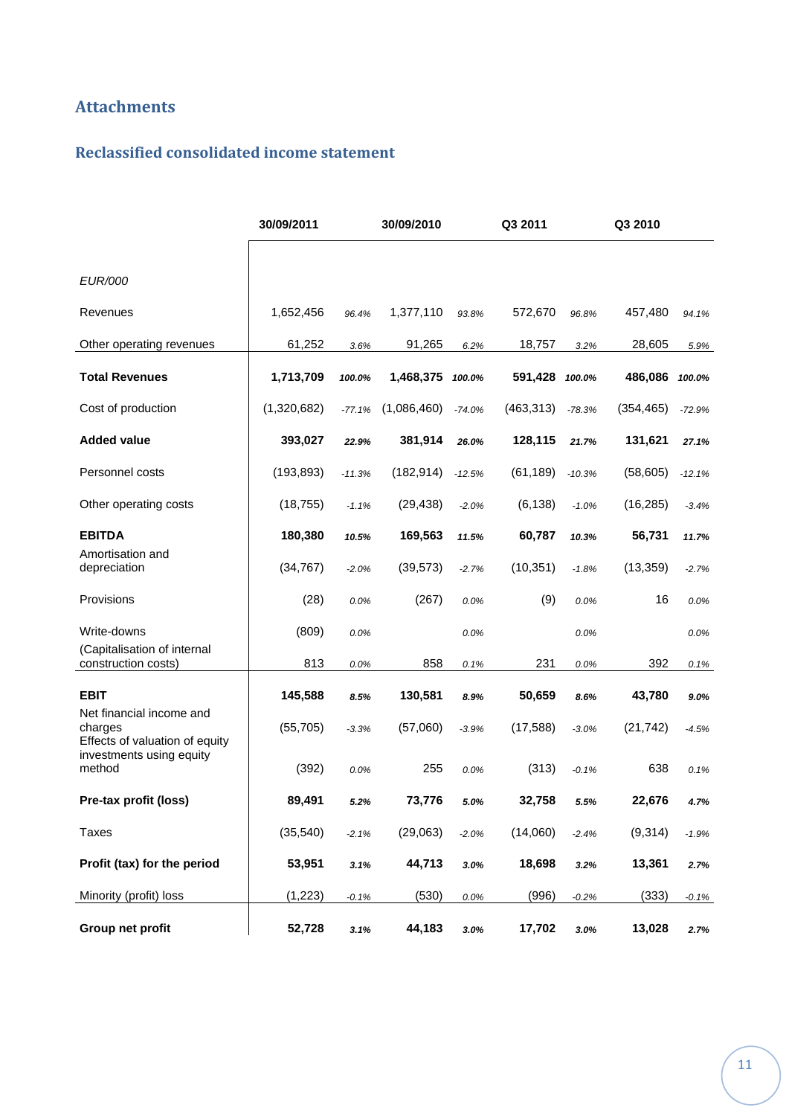## **Attachments**

## **Reclassified consolidated income statement**

|                                                                       | 30/09/2011  |          | 30/09/2010  | Q3 2011  |            | Q3 2010  |            |          |
|-----------------------------------------------------------------------|-------------|----------|-------------|----------|------------|----------|------------|----------|
|                                                                       |             |          |             |          |            |          |            |          |
| <b>EUR/000</b>                                                        |             |          |             |          |            |          |            |          |
| Revenues                                                              | 1,652,456   | 96.4%    | 1,377,110   | 93.8%    | 572,670    | 96.8%    | 457,480    | 94.1%    |
| Other operating revenues                                              | 61,252      | 3.6%     | 91,265      | 6.2%     | 18,757     | 3.2%     | 28,605     | 5.9%     |
| <b>Total Revenues</b>                                                 | 1,713,709   | 100.0%   | 1,468,375   | 100.0%   | 591,428    | 100.0%   | 486,086    | 100.0%   |
| Cost of production                                                    | (1,320,682) | $-77.1%$ | (1,086,460) | $-74.0%$ | (463, 313) | $-78.3%$ | (354, 465) | $-72.9%$ |
| <b>Added value</b>                                                    | 393,027     | 22.9%    | 381,914     | 26.0%    | 128,115    | 21.7%    | 131,621    | 27.1%    |
| Personnel costs                                                       | (193, 893)  | $-11.3%$ | (182, 914)  | $-12.5%$ | (61, 189)  | $-10.3%$ | (58, 605)  | $-12.1%$ |
| Other operating costs                                                 | (18, 755)   | $-1.1%$  | (29, 438)   | $-2.0%$  | (6, 138)   | $-1.0%$  | (16, 285)  | $-3.4%$  |
| <b>EBITDA</b>                                                         | 180,380     | 10.5%    | 169,563     | 11.5%    | 60,787     | 10.3%    | 56,731     | 11.7%    |
| Amortisation and<br>depreciation                                      | (34, 767)   | $-2.0%$  | (39, 573)   | $-2.7%$  | (10, 351)  | $-1.8%$  | (13, 359)  | $-2.7%$  |
| Provisions                                                            | (28)        | 0.0%     | (267)       | 0.0%     | (9)        | 0.0%     | 16         | 0.0%     |
| Write-downs                                                           | (809)       | 0.0%     |             | 0.0%     |            | 0.0%     |            | 0.0%     |
| (Capitalisation of internal<br>construction costs)                    | 813         | 0.0%     | 858         | 0.1%     | 231        | 0.0%     | 392        | 0.1%     |
| <b>EBIT</b>                                                           | 145,588     | 8.5%     | 130,581     | 8.9%     | 50,659     | 8.6%     | 43,780     | 9.0%     |
| Net financial income and<br>charges<br>Effects of valuation of equity | (55, 705)   | $-3.3%$  | (57,060)    | $-3.9%$  | (17, 588)  | $-3.0%$  | (21, 742)  | $-4.5%$  |
| investments using equity<br>method                                    | (392)       | 0.0%     | 255         | 0.0%     | (313)      | $-0.1%$  | 638        | 0.1%     |
| Pre-tax profit (loss)                                                 | 89,491      | 5.2%     | 73,776      | 5.0%     | 32,758     | 5.5%     | 22,676     | 4.7%     |
| <b>Taxes</b>                                                          | (35, 540)   | $-2.1%$  | (29,063)    | $-2.0%$  | (14,060)   | $-2.4%$  | (9,314)    | $-1.9%$  |
| Profit (tax) for the period                                           | 53,951      | 3.1%     | 44,713      | 3.0%     | 18,698     | 3.2%     | 13,361     | 2.7%     |
| Minority (profit) loss                                                | (1, 223)    | $-0.1%$  | (530)       | 0.0%     | (996)      | $-0.2%$  | (333)      | $-0.1%$  |
| Group net profit                                                      | 52,728      | 3.1%     | 44,183      | 3.0%     | 17,702     | 3.0%     | 13,028     | 2.7%     |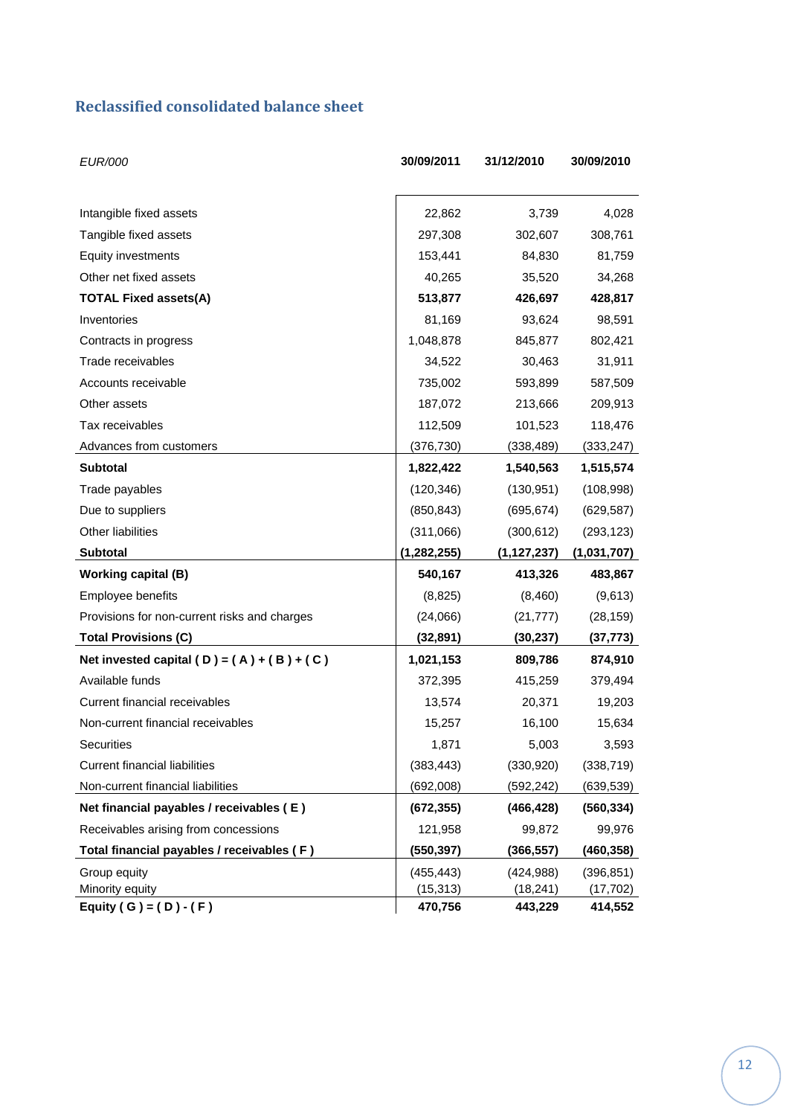## **Reclassified consolidated balance sheet**

| <b>EUR/000</b>                               | 30/09/2011    | 31/12/2010    | 30/09/2010  |
|----------------------------------------------|---------------|---------------|-------------|
|                                              |               |               |             |
| Intangible fixed assets                      | 22,862        | 3,739         | 4,028       |
| Tangible fixed assets                        | 297,308       | 302,607       | 308,761     |
| Equity investments                           | 153,441       | 84,830        | 81,759      |
| Other net fixed assets                       | 40,265        | 35,520        | 34,268      |
| <b>TOTAL Fixed assets(A)</b>                 | 513,877       | 426,697       | 428,817     |
| Inventories                                  | 81,169        | 93,624        | 98,591      |
| Contracts in progress                        | 1,048,878     | 845,877       | 802,421     |
| Trade receivables                            | 34,522        | 30,463        | 31,911      |
| Accounts receivable                          | 735,002       | 593,899       | 587,509     |
| Other assets                                 | 187,072       | 213,666       | 209,913     |
| Tax receivables                              | 112,509       | 101,523       | 118,476     |
| Advances from customers                      | (376,730)     | (338, 489)    | (333, 247)  |
| <b>Subtotal</b>                              | 1,822,422     | 1,540,563     | 1,515,574   |
| Trade payables                               | (120, 346)    | (130, 951)    | (108, 998)  |
| Due to suppliers                             | (850, 843)    | (695, 674)    | (629, 587)  |
| Other liabilities                            | (311,066)     | (300, 612)    | (293, 123)  |
| <b>Subtotal</b>                              | (1, 282, 255) | (1, 127, 237) | (1,031,707) |
| <b>Working capital (B)</b>                   | 540,167       | 413,326       | 483,867     |
| Employee benefits                            | (8,825)       | (8,460)       | (9,613)     |
| Provisions for non-current risks and charges | (24,066)      | (21, 777)     | (28, 159)   |
| <b>Total Provisions (C)</b>                  | (32, 891)     | (30, 237)     | (37, 773)   |
| Net invested capital (D) = $(A) + (B) + (C)$ | 1,021,153     | 809,786       | 874,910     |
| Available funds                              | 372,395       | 415,259       | 379,494     |
| Current financial receivables                | 13,574        | 20,371        | 19,203      |
| Non-current financial receivables            | 15,257        | 16,100        | 15,634      |
| Securities                                   | 1,871         | 5,003         | 3,593       |
| Current financial liabilities                | (383, 443)    | (330, 920)    | (338, 719)  |
| Non-current financial liabilities            | (692,008)     | (592, 242)    | (639, 539)  |
| Net financial payables / receivables (E)     | (672, 355)    | (466, 428)    | (560, 334)  |
| Receivables arising from concessions         | 121,958       | 99,872        | 99,976      |
| Total financial payables / receivables (F)   | (550,397)     | (366, 557)    | (460, 358)  |
| Group equity                                 | (455, 443)    | (424, 988)    | (396, 851)  |
| Minority equity                              | (15, 313)     | (18, 241)     | (17,702)    |
| Equity ( G ) = $(D) - (F)$                   | 470,756       | 443,229       | 414,552     |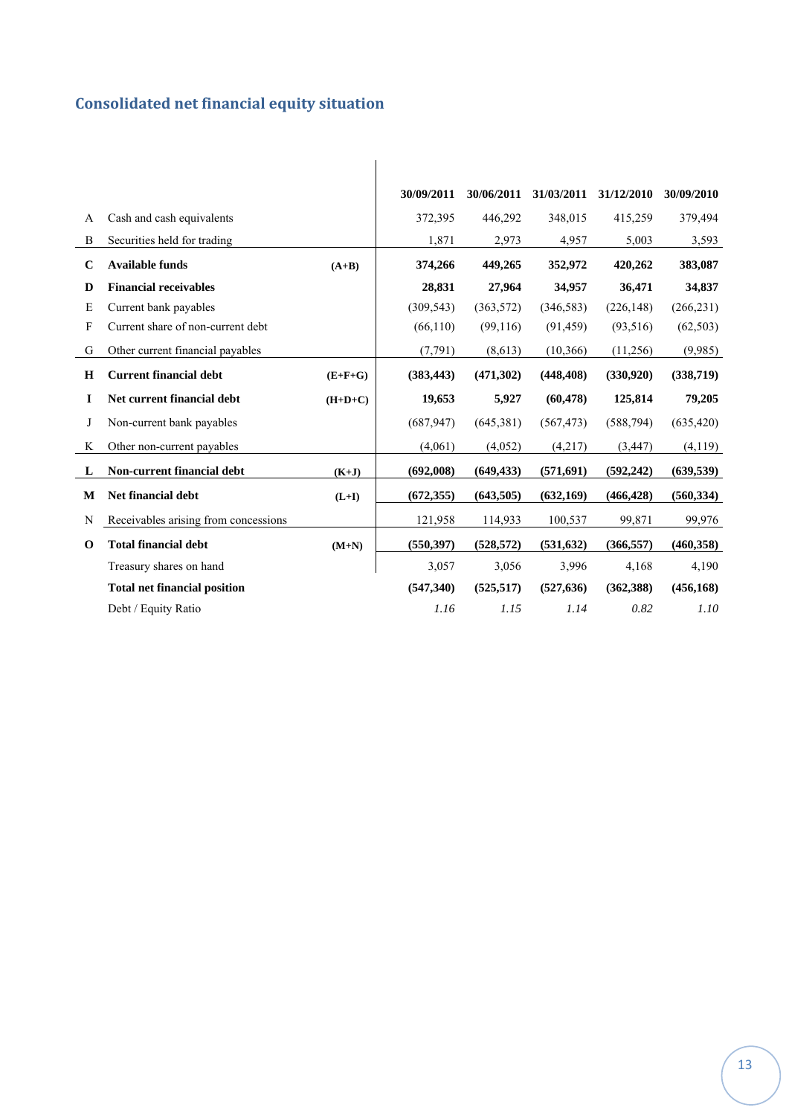# **Consolidated net financial equity situation**

|             |                                      |           | 30/09/2011 | 30/06/2011 | 31/03/2011 | 31/12/2010 | 30/09/2010 |
|-------------|--------------------------------------|-----------|------------|------------|------------|------------|------------|
| A           | Cash and cash equivalents            |           | 372,395    | 446,292    | 348,015    | 415,259    | 379,494    |
| B           | Securities held for trading          |           | 1,871      | 2,973      | 4,957      | 5,003      | 3,593      |
| $\mathbf C$ | <b>Available funds</b>               | $(A+B)$   | 374,266    | 449,265    | 352,972    | 420,262    | 383,087    |
| D           | <b>Financial receivables</b>         |           | 28,831     | 27,964     | 34,957     | 36,471     | 34,837     |
| E           | Current bank payables                |           | (309, 543) | (363, 572) | (346, 583) | (226, 148) | (266, 231) |
| F           | Current share of non-current debt    |           | (66, 110)  | (99, 116)  | (91, 459)  | (93, 516)  | (62, 503)  |
| G           | Other current financial payables     |           | (7, 791)   | (8,613)    | (10, 366)  | (11,256)   | (9,985)    |
| H           | <b>Current financial debt</b>        | $(E+F+G)$ | (383, 443) | (471,302)  | (448, 408) | (330,920)  | (338,719)  |
| I           | Net current financial debt           | $(H+D+C)$ | 19,653     | 5,927      | (60, 478)  | 125,814    | 79,205     |
| J           | Non-current bank payables            |           | (687, 947) | (645,381)  | (567, 473) | (588, 794) | (635, 420) |
| K           | Other non-current payables           |           | (4,061)    | (4,052)    | (4,217)    | (3, 447)   | (4,119)    |
| L           | Non-current financial debt           | $(K+J)$   | (692,008)  | (649, 433) | (571, 691) | (592, 242) | (639, 539) |
| M           | <b>Net financial debt</b>            | $(L+I)$   | (672, 355) | (643,505)  | (632, 169) | (466, 428) | (560, 334) |
| N           | Receivables arising from concessions |           | 121,958    | 114,933    | 100,537    | 99,871     | 99,976     |
| $\mathbf 0$ | <b>Total financial debt</b>          | $(M+N)$   | (550, 397) | (528, 572) | (531, 632) | (366, 557) | (460, 358) |
|             | Treasury shares on hand              |           | 3,057      | 3,056      | 3,996      | 4,168      | 4,190      |
|             | <b>Total net financial position</b>  |           | (547, 340) | (525, 517) | (527, 636) | (362, 388) | (456, 168) |
|             | Debt / Equity Ratio                  |           | 1.16       | 1.15       | 1.14       | 0.82       | 1.10       |